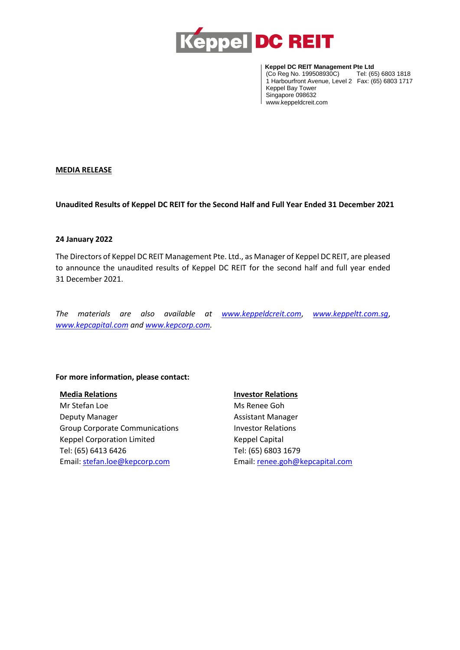

**Example DC REIT Management Pte Ltd**<br> (Co Reg No. 199508930C) Tel: (65) 6803 1818 (Co Reg No. 199508930C) 1 Harbourfront Avenue, Level 2 Fax: (65) 6803 1717 Keppel Bay Tower Singapore 098632 www.keppeldcreit.com

### **MEDIA RELEASE**

**Unaudited Results of Keppel DC REIT for the Second Half and Full Year Ended 31 December 2021**

#### **24 January 2022**

The Directors of Keppel DC REIT Management Pte. Ltd., as Manager of Keppel DC REIT, are pleased to announce the unaudited results of Keppel DC REIT for the second half and full year ended 31 December 2021.

*The materials are also available at [www.keppeldcreit.com](http://www.keppeldcreit.com/)*, *[www.keppeltt.com.sg](http://www.keppeltt.com.sg/)*, *[www.kepcapital.com](file:///C:/Users/YeeSheng.CHIAM/AppData/Local/Microsoft/Windows/INetCache/Content.Outlook/PPQINVJR/www.kepcapital.com) and [www.kepcorp.com.](http://www.kepcorp.com/)* 

#### **For more information, please contact:**

**Media Relations**

Mr Stefan Loe Deputy Manager Group Corporate Communications Keppel Corporation Limited Tel: (65) 6413 6426 Email: [stefan.loe@kepcorp.com](mailto:stefan.loe@kepcorp.com)

#### **Investor Relations**

Ms Renee Goh Assistant Manager Investor Relations Keppel Capital Tel: (65) 6803 1679 Email[: renee.goh@kepcapital.com](mailto:renee.goh@kepcapital.com)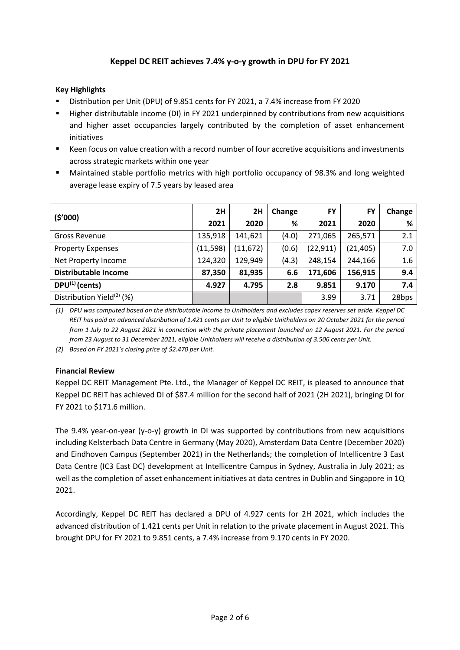# **Keppel DC REIT achieves 7.4% y-o-y growth in DPU for FY 2021**

## **Key Highlights**

- Distribution per Unit (DPU) of 9.851 cents for FY 2021, a 7.4% increase from FY 2020
- Higher distributable income (DI) in FY 2021 underpinned by contributions from new acquisitions and higher asset occupancies largely contributed by the completion of asset enhancement initiatives
- Keen focus on value creation with a record number of four accretive acquisitions and investments across strategic markets within one year
- Maintained stable portfolio metrics with high portfolio occupancy of 98.3% and long weighted average lease expiry of 7.5 years by leased area

| (5'000)                               | 2H       | 2H        | Change | <b>FY</b> | <b>FY</b> | Change |
|---------------------------------------|----------|-----------|--------|-----------|-----------|--------|
|                                       | 2021     | 2020      | %      | 2021      | 2020      | %      |
| <b>Gross Revenue</b>                  | 135,918  | 141,621   | (4.0)  | 271,065   | 265,571   | 2.1    |
| <b>Property Expenses</b>              | (11,598) | (11, 672) | (0.6)  | (22, 911) | (21, 405) | 7.0    |
| Net Property Income                   | 124,320  | 129,949   | (4.3)  | 248,154   | 244,166   | 1.6    |
| <b>Distributable Income</b>           | 87,350   | 81,935    | 6.6    | 171,606   | 156,915   | 9.4    |
| $DPU^{(1)}$ (cents)                   | 4.927    | 4.795     | 2.8    | 9.851     | 9.170     | 7.4    |
| Distribution Yield <sup>(2)</sup> (%) |          |           |        | 3.99      | 3.71      | 28bps  |

*(1) DPU was computed based on the distributable income to Unitholders and excludes capex reserves set aside. Keppel DC REIT has paid an advanced distribution of 1.421 cents per Unit to eligible Unitholders on 20 October 2021 for the period from 1 July to 22 August 2021 in connection with the private placement launched on 12 August 2021. For the period from 23 August to 31 December 2021, eligible Unitholders will receive a distribution of 3.506 cents per Unit.*

*(2) Based on FY 2021's closing price of \$2.470 per Unit.*

## **Financial Review**

Keppel DC REIT Management Pte. Ltd., the Manager of Keppel DC REIT, is pleased to announce that Keppel DC REIT has achieved DI of \$87.4 million for the second half of 2021 (2H 2021), bringing DI for FY 2021 to \$171.6 million.

The 9.4% year-on-year (y-o-y) growth in DI was supported by contributions from new acquisitions including Kelsterbach Data Centre in Germany (May 2020), Amsterdam Data Centre (December 2020) and Eindhoven Campus (September 2021) in the Netherlands; the completion of Intellicentre 3 East Data Centre (IC3 East DC) development at Intellicentre Campus in Sydney, Australia in July 2021; as well as the completion of asset enhancement initiatives at data centres in Dublin and Singapore in 1Q 2021.

Accordingly, Keppel DC REIT has declared a DPU of 4.927 cents for 2H 2021, which includes the advanced distribution of 1.421 cents per Unit in relation to the private placement in August 2021. This brought DPU for FY 2021 to 9.851 cents, a 7.4% increase from 9.170 cents in FY 2020.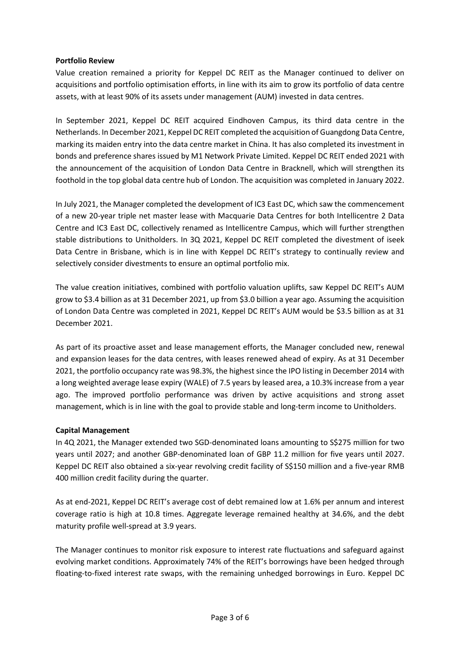#### **Portfolio Review**

Value creation remained a priority for Keppel DC REIT as the Manager continued to deliver on acquisitions and portfolio optimisation efforts, in line with its aim to grow its portfolio of data centre assets, with at least 90% of its assets under management (AUM) invested in data centres.

In September 2021, Keppel DC REIT acquired Eindhoven Campus, its third data centre in the Netherlands. In December 2021, Keppel DC REIT completed the acquisition of Guangdong Data Centre, marking its maiden entry into the data centre market in China. It has also completed its investment in bonds and preference shares issued by M1 Network Private Limited. Keppel DC REIT ended 2021 with the announcement of the acquisition of London Data Centre in Bracknell, which will strengthen its foothold in the top global data centre hub of London. The acquisition was completed in January 2022.

In July 2021, the Manager completed the development of IC3 East DC, which saw the commencement of a new 20-year triple net master lease with Macquarie Data Centres for both Intellicentre 2 Data Centre and IC3 East DC, collectively renamed as Intellicentre Campus, which will further strengthen stable distributions to Unitholders. In 3Q 2021, Keppel DC REIT completed the divestment of iseek Data Centre in Brisbane, which is in line with Keppel DC REIT's strategy to continually review and selectively consider divestments to ensure an optimal portfolio mix.

The value creation initiatives, combined with portfolio valuation uplifts, saw Keppel DC REIT's AUM grow to \$3.4 billion as at 31 December 2021, up from \$3.0 billion a year ago. Assuming the acquisition of London Data Centre was completed in 2021, Keppel DC REIT's AUM would be \$3.5 billion as at 31 December 2021.

As part of its proactive asset and lease management efforts, the Manager concluded new, renewal and expansion leases for the data centres, with leases renewed ahead of expiry. As at 31 December 2021, the portfolio occupancy rate was 98.3%, the highest since the IPO listing in December 2014 with a long weighted average lease expiry (WALE) of 7.5 years by leased area, a 10.3% increase from a year ago. The improved portfolio performance was driven by active acquisitions and strong asset management, which is in line with the goal to provide stable and long-term income to Unitholders.

## **Capital Management**

In 4Q 2021, the Manager extended two SGD-denominated loans amounting to S\$275 million for two years until 2027; and another GBP-denominated loan of GBP 11.2 million for five years until 2027. Keppel DC REIT also obtained a six-year revolving credit facility of S\$150 million and a five-year RMB 400 million credit facility during the quarter.

As at end-2021, Keppel DC REIT's average cost of debt remained low at 1.6% per annum and interest coverage ratio is high at 10.8 times. Aggregate leverage remained healthy at 34.6%, and the debt maturity profile well-spread at 3.9 years.

The Manager continues to monitor risk exposure to interest rate fluctuations and safeguard against evolving market conditions. Approximately 74% of the REIT's borrowings have been hedged through floating-to-fixed interest rate swaps, with the remaining unhedged borrowings in Euro. Keppel DC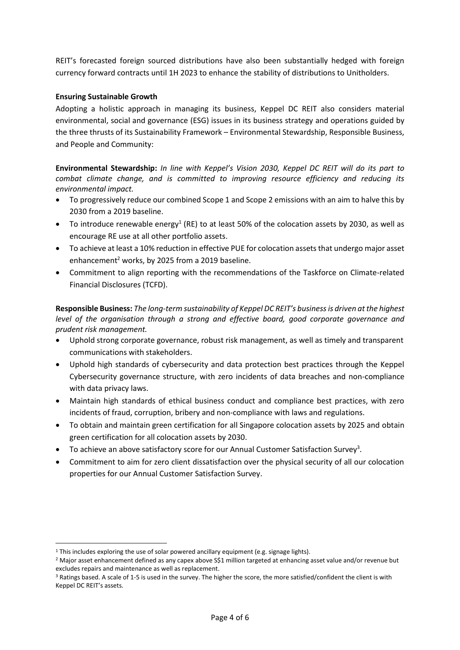REIT's forecasted foreign sourced distributions have also been substantially hedged with foreign currency forward contracts until 1H 2023 to enhance the stability of distributions to Unitholders.

### **Ensuring Sustainable Growth**

Adopting a holistic approach in managing its business, Keppel DC REIT also considers material environmental, social and governance (ESG) issues in its business strategy and operations guided by the three thrusts of its Sustainability Framework – Environmental Stewardship, Responsible Business, and People and Community:

**Environmental Stewardship:** *In line with Keppel's Vision 2030, Keppel DC REIT will do its part to combat climate change, and is committed to improving resource efficiency and reducing its environmental impact.*

- To progressively reduce our combined Scope 1 and Scope 2 emissions with an aim to halve this by 2030 from a 2019 baseline.
- To introduce renewable energy<sup>1</sup> (RE) to at least 50% of the colocation assets by 2030, as well as encourage RE use at all other portfolio assets.
- To achieve at least a 10% reduction in effective PUE for colocation assets that undergo major asset enhancement<sup>2</sup> works, by 2025 from a 2019 baseline.
- Commitment to align reporting with the recommendations of the Taskforce on Climate-related Financial Disclosures (TCFD).

**Responsible Business:** *The long-term sustainability of Keppel DC REIT's business is driven at the highest level of the organisation through a strong and effective board, good corporate governance and prudent risk management.*

- Uphold strong corporate governance, robust risk management, as well as timely and transparent communications with stakeholders.
- Uphold high standards of cybersecurity and data protection best practices through the Keppel Cybersecurity governance structure, with zero incidents of data breaches and non-compliance with data privacy laws.
- Maintain high standards of ethical business conduct and compliance best practices, with zero incidents of fraud, corruption, bribery and non-compliance with laws and regulations.
- To obtain and maintain green certification for all Singapore colocation assets by 2025 and obtain green certification for all colocation assets by 2030.
- $\bullet$  To achieve an above satisfactory score for our Annual Customer Satisfaction Survey<sup>3</sup>.
- Commitment to aim for zero client dissatisfaction over the physical security of all our colocation properties for our Annual Customer Satisfaction Survey.

<sup>&</sup>lt;sup>1</sup> This includes exploring the use of solar powered ancillary equipment (e.g. signage lights).

<sup>&</sup>lt;sup>2</sup> Major asset enhancement defined as any capex above S\$1 million targeted at enhancing asset value and/or revenue but excludes repairs and maintenance as well as replacement.

<sup>3</sup> Ratings based. A scale of 1-5 is used in the survey. The higher the score, the more satisfied/confident the client is with Keppel DC REIT's assets.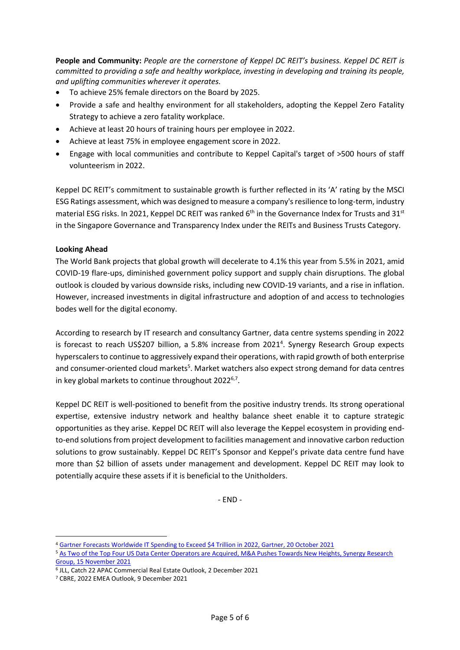**People and Community:** *People are the cornerstone of Keppel DC REIT's business. Keppel DC REIT is committed to providing a safe and healthy workplace, investing in developing and training its people, and uplifting communities wherever it operates.*

- To achieve 25% female directors on the Board by 2025.
- Provide a safe and healthy environment for all stakeholders, adopting the Keppel Zero Fatality Strategy to achieve a zero fatality workplace.
- Achieve at least 20 hours of training hours per employee in 2022.
- Achieve at least 75% in employee engagement score in 2022.
- Engage with local communities and contribute to Keppel Capital's target of >500 hours of staff volunteerism in 2022.

Keppel DC REIT's commitment to sustainable growth is further reflected in its 'A' rating by the MSCI ESG Ratings assessment, which was designed to measure a company's resilience to long-term, industry material ESG risks. In 2021, Keppel DC REIT was ranked 6<sup>th</sup> in the Governance Index for Trusts and 31<sup>st</sup> in the Singapore Governance and Transparency Index under the REITs and Business Trusts Category.

### **Looking Ahead**

The World Bank projects that global growth will decelerate to 4.1% this year from 5.5% in 2021, amid COVID-19 flare-ups, diminished government policy support and supply chain disruptions. The global outlook is clouded by various downside risks, including new COVID-19 variants, and a rise in inflation. However, increased investments in digital infrastructure and adoption of and access to technologies bodes well for the digital economy.

According to research by IT research and consultancy Gartner, data centre systems spending in 2022 is forecast to reach US\$207 billion, a 5.8% increase from 2021<sup>4</sup>. Synergy Research Group expects hyperscalers to continue to aggressively expand their operations, with rapid growth of both enterprise and consumer-oriented cloud markets<sup>5</sup>. Market watchers also expect strong demand for data centres in key global markets to continue throughout 2022<sup>6,7</sup>.

Keppel DC REIT is well-positioned to benefit from the positive industry trends. Its strong operational expertise, extensive industry network and healthy balance sheet enable it to capture strategic opportunities as they arise. Keppel DC REIT will also leverage the Keppel ecosystem in providing endto-end solutions from project development to facilities management and innovative carbon reduction solutions to grow sustainably. Keppel DC REIT's Sponsor and Keppel's private data centre fund have more than \$2 billion of assets under management and development. Keppel DC REIT may look to potentially acquire these assets if it is beneficial to the Unitholders.

- END -

<sup>4</sup> [Gartner Forecasts Worldwide IT Spending to Exceed \\$4 Trillion in 2022, Gartner, 20 October 2021](https://www.gartner.com/en/newsroom/press-releases/2021-10-20-gartner-forecasts-worldwide-it-spending-to-exceed-4-trillion-in-2022)

<sup>5</sup> [As Two of the Top Four US Data Center Operators are Acquired, M&A Pushes Towards New Heights, Synergy Research](https://www.srgresearch.com/articles/as-two-of-the-top-four-us-data-center-operators-are-acquired-ma-pushes-towards-new-heights)  [Group, 15 November 2021](https://www.srgresearch.com/articles/as-two-of-the-top-four-us-data-center-operators-are-acquired-ma-pushes-towards-new-heights)

<sup>6</sup> JLL, Catch 22 APAC Commercial Real Estate Outlook, 2 December 2021

<sup>7</sup> CBRE, 2022 EMEA Outlook, 9 December 2021